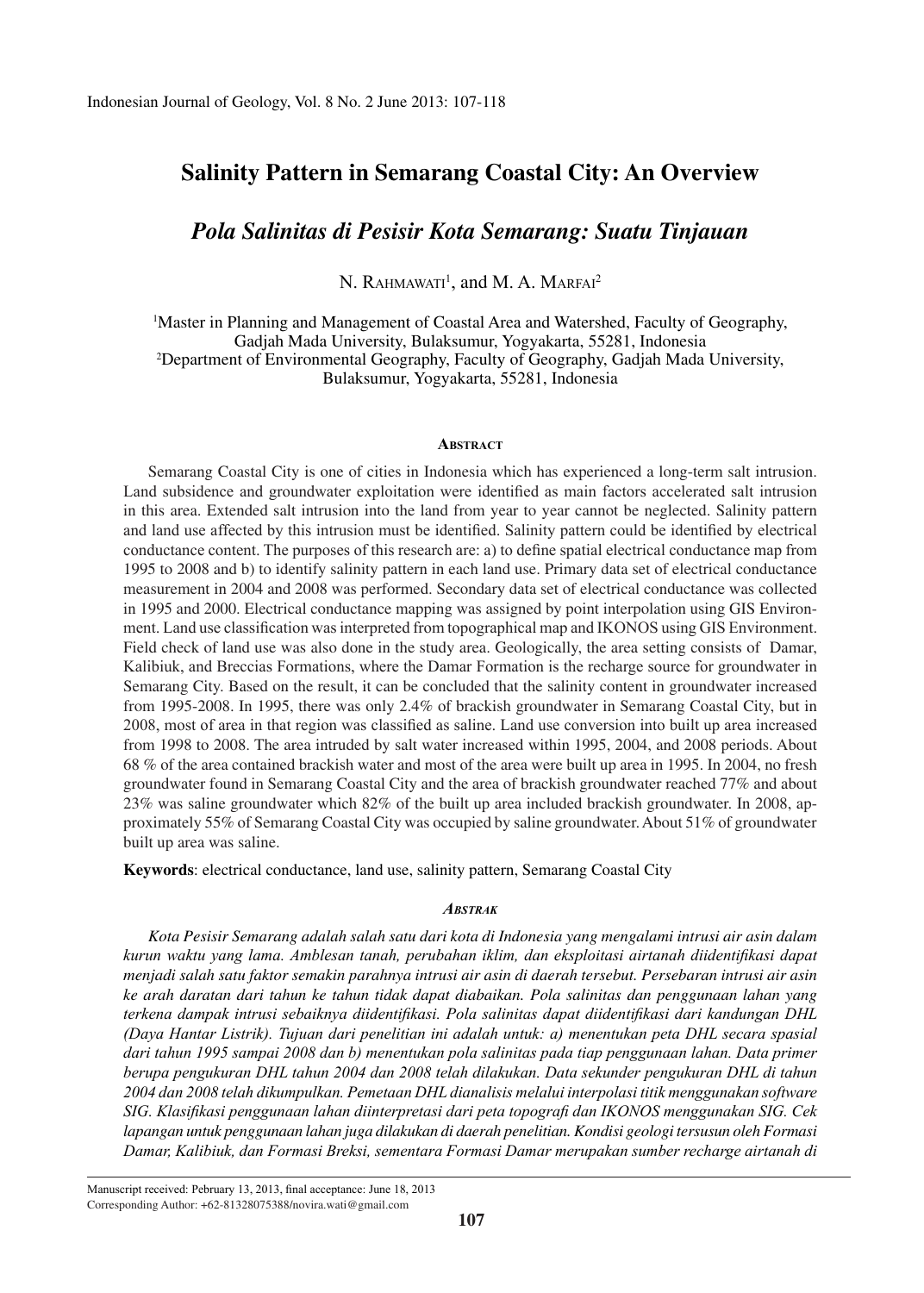# **Salinity Pattern in Semarang Coastal City: An Overview**

# *Pola Salinitas di Pesisir Kota Semarang: Suatu Tinjauan*

N. RAHMAWATI<sup>1</sup>, and M. A. MARFAI<sup>2</sup>

<sup>1</sup>Master in Planning and Management of Coastal Area and Watershed, Faculty of Geography, Gadjah Mada University, Bulaksumur, Yogyakarta, 55281, Indonesia <sup>2</sup>Department of Environmental Geography, Faculty of Geography, Gadjah Mada University, Bulaksumur, Yogyakarta, 55281, Indonesia

### **AbstrAct**

Semarang Coastal City is one of cities in Indonesia which has experienced a long-term salt intrusion. Land subsidence and groundwater exploitation were identified as main factors accelerated salt intrusion in this area. Extended salt intrusion into the land from year to year cannot be neglected. Salinity pattern and land use affected by this intrusion must be identified. Salinity pattern could be identified by electrical conductance content. The purposes of this research are: a) to define spatial electrical conductance map from 1995 to 2008 and b) to identify salinity pattern in each land use. Primary data set of electrical conductance measurement in 2004 and 2008 was performed. Secondary data set of electrical conductance was collected in 1995 and 2000. Electrical conductance mapping was assigned by point interpolation using GIS Environment. Land use classification was interpreted from topographical map and IKONOS using GIS Environment. Field check of land use was also done in the study area. Geologically, the area setting consists of Damar, Kalibiuk, and Breccias Formations, where the Damar Formation is the recharge source for groundwater in Semarang City. Based on the result, it can be concluded that the salinity content in groundwater increased from 1995-2008. In 1995, there was only 2.4% of brackish groundwater in Semarang Coastal City, but in 2008, most of area in that region was classified as saline. Land use conversion into built up area increased from 1998 to 2008. The area intruded by salt water increased within 1995, 2004, and 2008 periods. About 68 % of the area contained brackish water and most of the area were built up area in 1995. In 2004, no fresh groundwater found in Semarang Coastal City and the area of brackish groundwater reached 77% and about 23% was saline groundwater which 82% of the built up area included brackish groundwater. In 2008, approximately 55% of Semarang Coastal City was occupied by saline groundwater. About 51% of groundwater built up area was saline.

**Keywords**: electrical conductance, land use, salinity pattern, Semarang Coastal City

#### *AbstrAk*

*Kota Pesisir Semarang adalah salah satu dari kota di Indonesia yang mengalami intrusi air asin dalam kurun waktu yang lama. Amblesan tanah, perubahan iklim, dan eksploitasi airtanah diidentifikasi dapat menjadi salah satu faktor semakin parahnya intrusi air asin di daerah tersebut. Persebaran intrusi air asin ke arah daratan dari tahun ke tahun tidak dapat diabaikan. Pola salinitas dan penggunaan lahan yang terkena dampak intrusi sebaiknya diidentifikasi. Pola salinitas dapat diidentifikasi dari kandungan DHL (Daya Hantar Listrik). Tujuan dari penelitian ini adalah untuk: a) menentukan peta DHL secara spasial dari tahun 1995 sampai 2008 dan b) menentukan pola salinitas pada tiap penggunaan lahan. Data primer berupa pengukuran DHL tahun 2004 dan 2008 telah dilakukan. Data sekunder pengukuran DHL di tahun 2004 dan 2008 telah dikumpulkan. Pemetaan DHL dianalisis melalui interpolasi titik menggunakan software SIG. Klasifikasi penggunaan lahan diinterpretasi dari peta topografi dan IKONOS menggunakan SIG. Cek lapangan untuk penggunaan lahan juga dilakukan di daerah penelitian. Kondisi geologi tersusun oleh Formasi Damar, Kalibiuk, dan Formasi Breksi, sementara Formasi Damar merupakan sumber recharge airtanah di* 

Manuscript received: Pebruary 13, 2013, final acceptance: June 18, 2013 Corresponding Author: +62-81328075388/novira.wati@gmail.com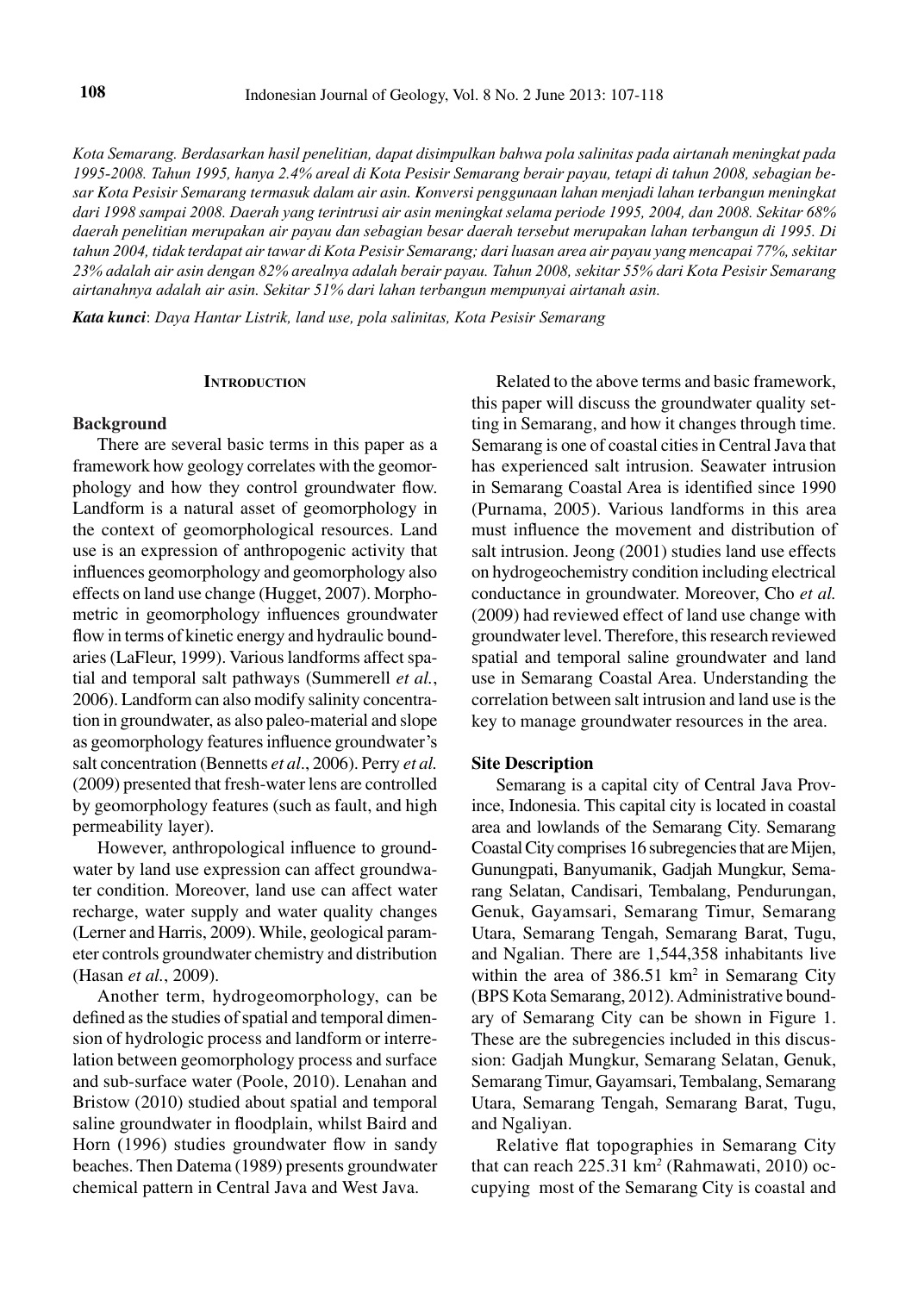*Kota Semarang. Berdasarkan hasil penelitian, dapat disimpulkan bahwa pola salinitas pada airtanah meningkat pada 1995-2008. Tahun 1995, hanya 2.4% areal di Kota Pesisir Semarang berair payau, tetapi di tahun 2008, sebagian besar Kota Pesisir Semarang termasuk dalam air asin. Konversi penggunaan lahan menjadi lahan terbangun meningkat dari 1998 sampai 2008. Daerah yang terintrusi air asin meningkat selama periode 1995, 2004, dan 2008. Sekitar 68% daerah penelitian merupakan air payau dan sebagian besar daerah tersebut merupakan lahan terbangun di 1995. Di tahun 2004, tidak terdapat air tawar di Kota Pesisir Semarang; dari luasan area air payau yang mencapai 77%, sekitar 23% adalah air asin dengan 82% arealnya adalah berair payau. Tahun 2008, sekitar 55% dari Kota Pesisir Semarang airtanahnya adalah air asin. Sekitar 51% dari lahan terbangun mempunyai airtanah asin.*

*Kata kunci*: *Daya Hantar Listrik, land use, pola salinitas, Kota Pesisir Semarang* 

#### **INTRODUCTION**

#### **Background**

There are several basic terms in this paper as a framework how geology correlates with the geomorphology and how they control groundwater flow. Landform is a natural asset of geomorphology in the context of geomorphological resources. Land use is an expression of anthropogenic activity that influences geomorphology and geomorphology also effects on land use change (Hugget, 2007). Morphometric in geomorphology influences groundwater flow in terms of kinetic energy and hydraulic boundaries (LaFleur, 1999). Various landforms affect spatial and temporal salt pathways (Summerell *et al.*, 2006). Landform can also modify salinity concentration in groundwater, as also paleo-material and slope as geomorphology features influence groundwater's salt concentration (Bennetts *et al*., 2006). Perry *et al.* (2009) presented that fresh-water lens are controlled by geomorphology features (such as fault, and high permeability layer).

However, anthropological influence to groundwater by land use expression can affect groundwater condition. Moreover, land use can affect water recharge, water supply and water quality changes (Lerner and Harris, 2009). While, geological parameter controls groundwater chemistry and distribution (Hasan *et al.*, 2009).

Another term, hydrogeomorphology, can be defined as the studies of spatial and temporal dimension of hydrologic process and landform or interrelation between geomorphology process and surface and sub-surface water (Poole, 2010). Lenahan and Bristow (2010) studied about spatial and temporal saline groundwater in floodplain, whilst Baird and Horn (1996) studies groundwater flow in sandy beaches. Then Datema (1989) presents groundwater chemical pattern in Central Java and West Java.

Related to the above terms and basic framework, this paper will discuss the groundwater quality setting in Semarang, and how it changes through time. Semarang is one of coastal cities in Central Java that has experienced salt intrusion. Seawater intrusion in Semarang Coastal Area is identified since 1990 (Purnama, 2005). Various landforms in this area must influence the movement and distribution of salt intrusion. Jeong (2001) studies land use effects on hydrogeochemistry condition including electrical conductance in groundwater. Moreover, Cho *et al.*  (2009) had reviewed effect of land use change with groundwater level. Therefore, this research reviewed spatial and temporal saline groundwater and land use in Semarang Coastal Area. Understanding the correlation between salt intrusion and land use is the key to manage groundwater resources in the area.

# **Site Description**

Semarang is a capital city of Central Java Province, Indonesia. This capital city is located in coastal area and lowlands of the Semarang City. Semarang Coastal City comprises 16 subregencies that are Mijen, Gunungpati, Banyumanik, Gadjah Mungkur, Semarang Selatan, Candisari, Tembalang, Pendurungan, Genuk, Gayamsari, Semarang Timur, Semarang Utara, Semarang Tengah, Semarang Barat, Tugu, and Ngalian. There are 1,544,358 inhabitants live within the area of  $386.51 \text{ km}^2$  in Semarang City (BPS Kota Semarang, 2012). Administrative boundary of Semarang City can be shown in Figure 1. These are the subregencies included in this discussion: Gadjah Mungkur, Semarang Selatan, Genuk, Semarang Timur, Gayamsari, Tembalang, Semarang Utara, Semarang Tengah, Semarang Barat, Tugu, and Ngaliyan.

Relative flat topographies in Semarang City that can reach 225.31 km*<sup>2</sup>* (Rahmawati, 2010) occupying most of the Semarang City is coastal and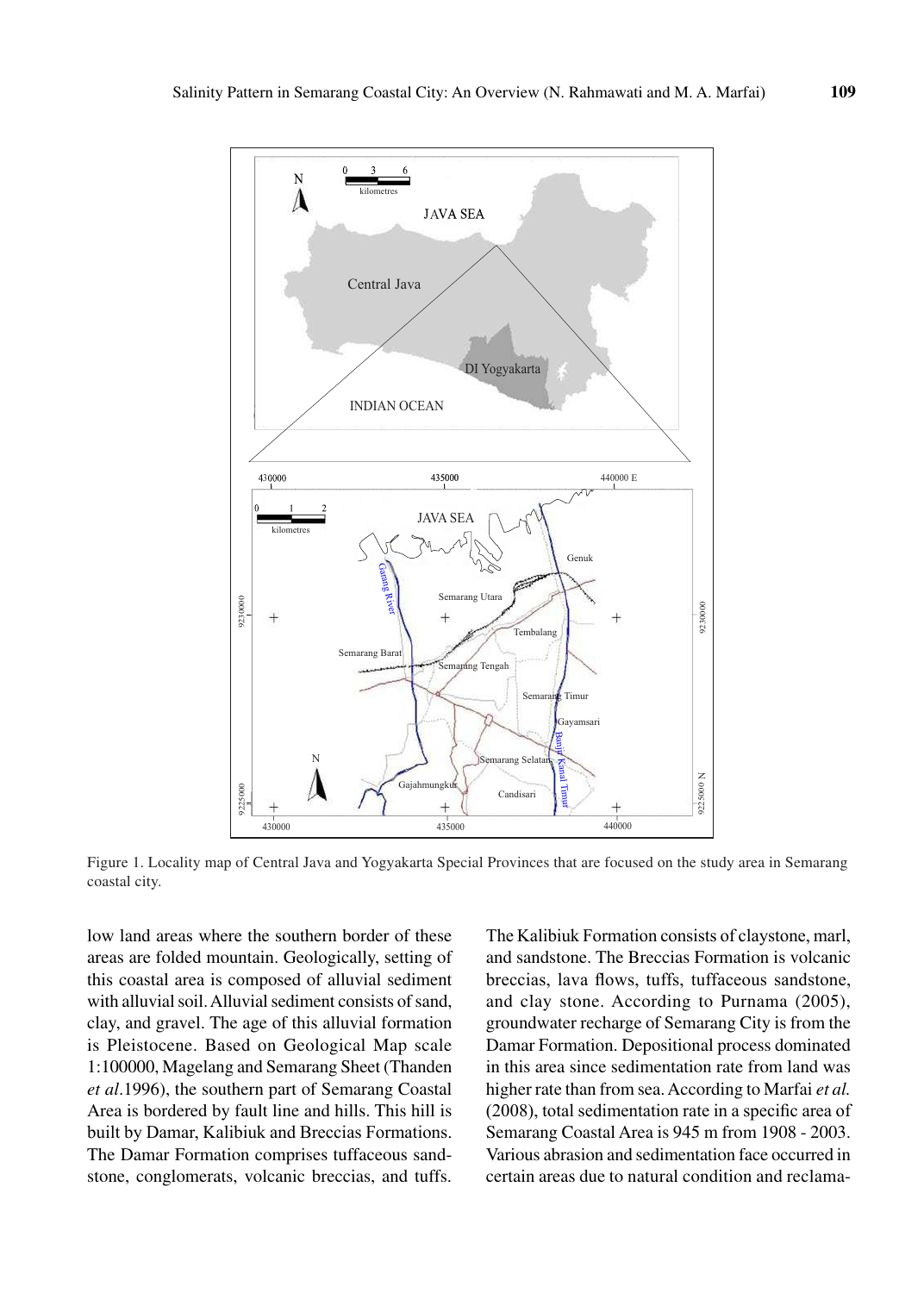

Figure 1. Locality map of Central Java and Yogyakarta Special Provinces that are focused on the study area in Semarang coastal city.

low land areas where the southern border of these areas are folded mountain. Geologically, setting of this coastal area is composed of alluvial sediment with alluvial soil. Alluvial sediment consists of sand, clay, and gravel. The age of this alluvial formation is Pleistocene. Based on Geological Map scale 1:100000, Magelang and Semarang Sheet (Thanden *et al*.1996), the southern part of Semarang Coastal Area is bordered by fault line and hills. This hill is built by Damar, Kalibiuk and Breccias Formations. The Damar Formation comprises tuffaceous sandstone, conglomerats, volcanic breccias, and tuffs.

The Kalibiuk Formation consists of claystone, marl, and sandstone. The Breccias Formation is volcanic breccias, lava flows, tuffs, tuffaceous sandstone, and clay stone. According to Purnama (2005), groundwater recharge of Semarang City is from the Damar Formation. Depositional process dominated in this area since sedimentation rate from land was higher rate than from sea. According to Marfai *et al.* (2008), total sedimentation rate in a specific area of Semarang Coastal Area is 945 m from 1908 - 2003. Various abrasion and sedimentation face occurred in certain areas due to natural condition and reclama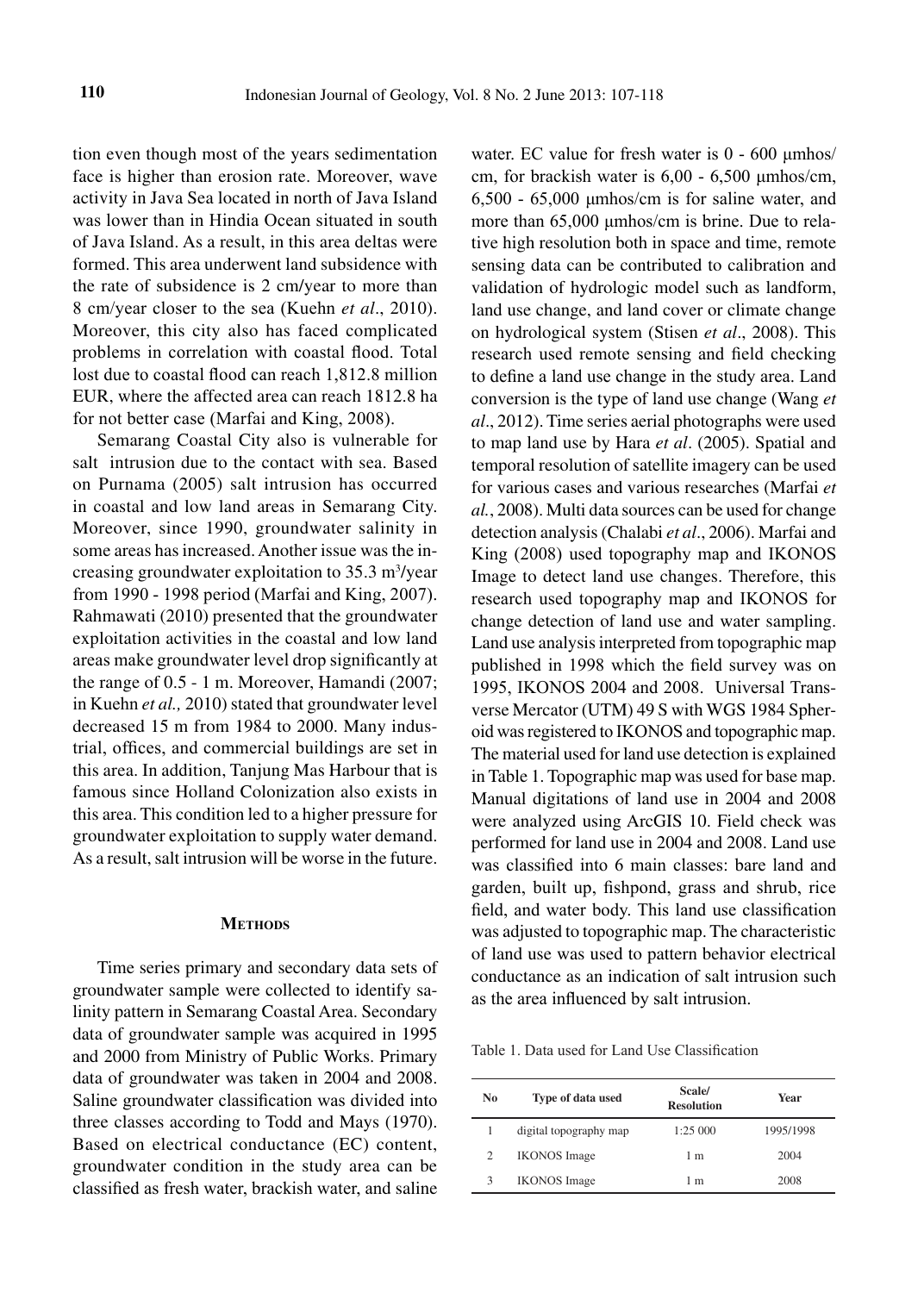tion even though most of the years sedimentation face is higher than erosion rate. Moreover, wave activity in Java Sea located in north of Java Island was lower than in Hindia Ocean situated in south of Java Island. As a result, in this area deltas were formed. This area underwent land subsidence with the rate of subsidence is 2 cm/year to more than 8 cm/year closer to the sea (Kuehn *et al*., 2010). Moreover, this city also has faced complicated problems in correlation with coastal flood. Total lost due to coastal flood can reach 1,812.8 million EUR, where the affected area can reach 1812.8 ha for not better case (Marfai and King, 2008).

Semarang Coastal City also is vulnerable for salt intrusion due to the contact with sea. Based on Purnama (2005) salt intrusion has occurred in coastal and low land areas in Semarang City. Moreover, since 1990, groundwater salinity in some areas has increased. Another issue was the increasing groundwater exploitation to  $35.3 \text{ m}^3$ /year from 1990 - 1998 period (Marfai and King, 2007). Rahmawati (2010) presented that the groundwater exploitation activities in the coastal and low land areas make groundwater level drop significantly at the range of 0.5 - 1 m. Moreover, Hamandi (2007; in Kuehn *et al.,* 2010) stated that groundwater level decreased 15 m from 1984 to 2000. Many industrial, offices, and commercial buildings are set in this area. In addition, Tanjung Mas Harbour that is famous since Holland Colonization also exists in this area. This condition led to a higher pressure for groundwater exploitation to supply water demand. As a result, salt intrusion will be worse in the future.

## **METHODS**

Time series primary and secondary data sets of groundwater sample were collected to identify salinity pattern in Semarang Coastal Area. Secondary data of groundwater sample was acquired in 1995 and 2000 from Ministry of Public Works. Primary data of groundwater was taken in 2004 and 2008. Saline groundwater classification was divided into three classes according to Todd and Mays (1970). Based on electrical conductance (EC) content, groundwater condition in the study area can be classified as fresh water, brackish water, and saline water. EC value for fresh water is 0 - 600 μmhos/ cm, for brackish water is 6,00 - 6,500 μmhos/cm, 6,500 - 65,000 μmhos/cm is for saline water, and more than 65,000 μmhos/cm is brine. Due to relative high resolution both in space and time, remote sensing data can be contributed to calibration and validation of hydrologic model such as landform, land use change, and land cover or climate change on hydrological system (Stisen *et al*., 2008). This research used remote sensing and field checking to define a land use change in the study area. Land conversion is the type of land use change (Wang *et al*., 2012). Time series aerial photographs were used to map land use by Hara *et al*. (2005). Spatial and temporal resolution of satellite imagery can be used for various cases and various researches (Marfai *et al.*, 2008). Multi data sources can be used for change detection analysis (Chalabi *et al*., 2006). Marfai and King (2008) used topography map and IKONOS Image to detect land use changes. Therefore, this research used topography map and IKONOS for change detection of land use and water sampling. Land use analysis interpreted from topographic map published in 1998 which the field survey was on 1995, IKONOS 2004 and 2008. Universal Transverse Mercator (UTM) 49 S with WGS 1984 Spheroid was registered to IKONOS and topographic map. The material used for land use detection is explained in Table 1. Topographic map was used for base map. Manual digitations of land use in 2004 and 2008 were analyzed using ArcGIS 10. Field check was performed for land use in 2004 and 2008. Land use was classified into 6 main classes: bare land and garden, built up, fishpond, grass and shrub, rice field, and water body. This land use classification was adjusted to topographic map. The characteristic of land use was used to pattern behavior electrical conductance as an indication of salt intrusion such as the area influenced by salt intrusion.

Table 1. Data used for Land Use Classification

| No. | Type of data used      | Scale/<br><b>Resolution</b> | Year      |
|-----|------------------------|-----------------------------|-----------|
|     | digital topography map | 1:25000                     | 1995/1998 |
| 2   | <b>IKONOS</b> Image    | 1 m                         | 2004      |
| 3   | <b>IKONOS</b> Image    | 1 m                         | 2008      |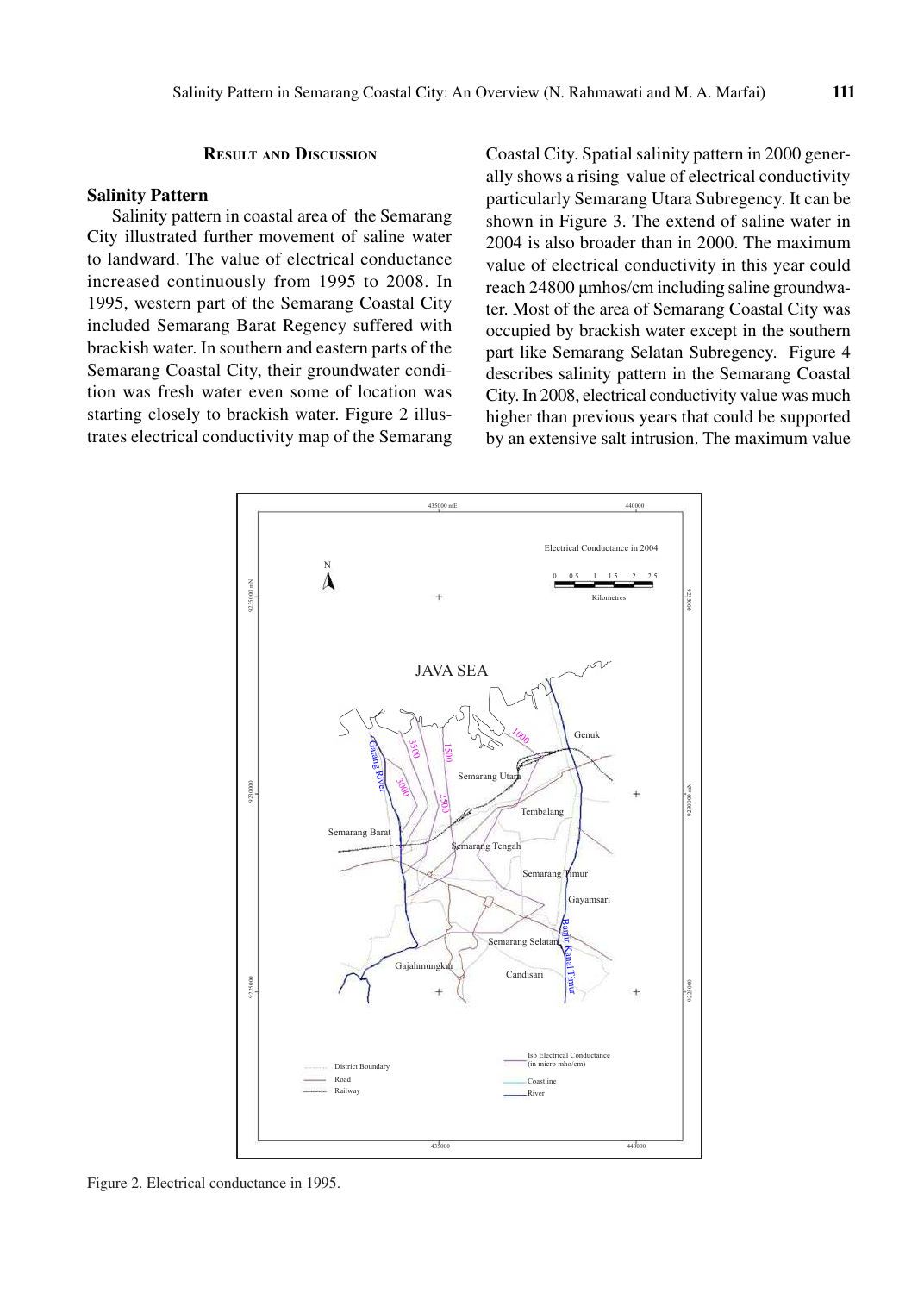# **result And dIscussIon**

# **Salinity Pattern**

Salinity pattern in coastal area of the Semarang City illustrated further movement of saline water to landward. The value of electrical conductance increased continuously from 1995 to 2008. In 1995, western part of the Semarang Coastal City included Semarang Barat Regency suffered with brackish water. In southern and eastern parts of the Semarang Coastal City, their groundwater condition was fresh water even some of location was starting closely to brackish water. Figure 2 illustrates electrical conductivity map of the Semarang

Coastal City. Spatial salinity pattern in 2000 generally shows a rising value of electrical conductivity particularly Semarang Utara Subregency. It can be shown in Figure 3. The extend of saline water in 2004 is also broader than in 2000. The maximum value of electrical conductivity in this year could reach 24800 μmhos/cm including saline groundwater. Most of the area of Semarang Coastal City was occupied by brackish water except in the southern part like Semarang Selatan Subregency. Figure 4 describes salinity pattern in the Semarang Coastal City. In 2008, electrical conductivity value was much higher than previous years that could be supported by an extensive salt intrusion. The maximum value



Figure 2. Electrical conductance in 1995.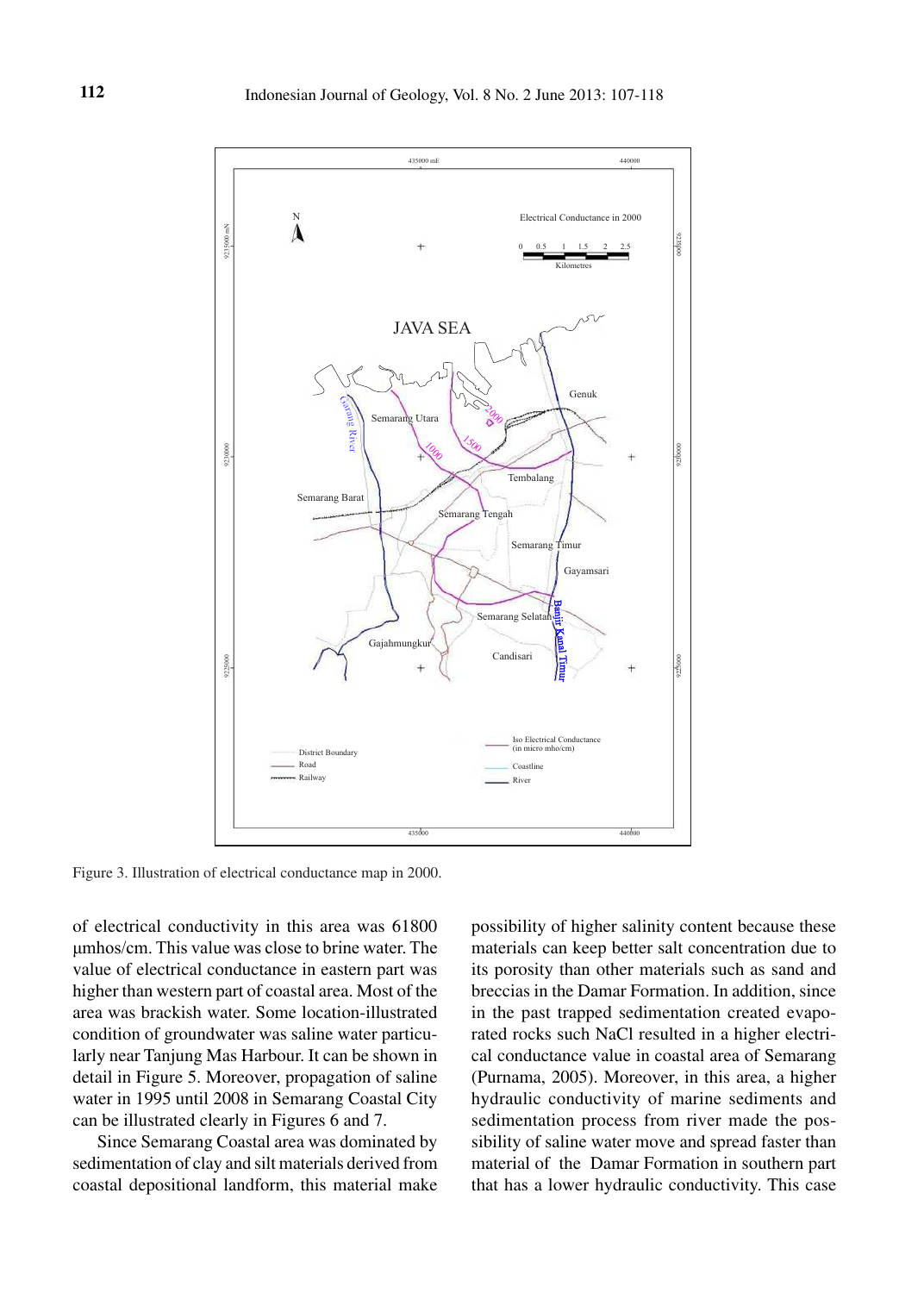

Figure 3. Illustration of electrical conductance map in 2000.

of electrical conductivity in this area was 61800 μmhos/cm. This value was close to brine water. The value of electrical conductance in eastern part was higher than western part of coastal area. Most of the area was brackish water. Some location-illustrated condition of groundwater was saline water particularly near Tanjung Mas Harbour. It can be shown in detail in Figure 5. Moreover, propagation of saline water in 1995 until 2008 in Semarang Coastal City can be illustrated clearly in Figures 6 and 7.

Since Semarang Coastal area was dominated by sedimentation of clay and silt materials derived from coastal depositional landform, this material make

possibility of higher salinity content because these materials can keep better salt concentration due to its porosity than other materials such as sand and breccias in the Damar Formation. In addition, since in the past trapped sedimentation created evaporated rocks such NaCl resulted in a higher electrical conductance value in coastal area of Semarang (Purnama, 2005). Moreover, in this area, a higher hydraulic conductivity of marine sediments and sedimentation process from river made the possibility of saline water move and spread faster than material of the Damar Formation in southern part that has a lower hydraulic conductivity. This case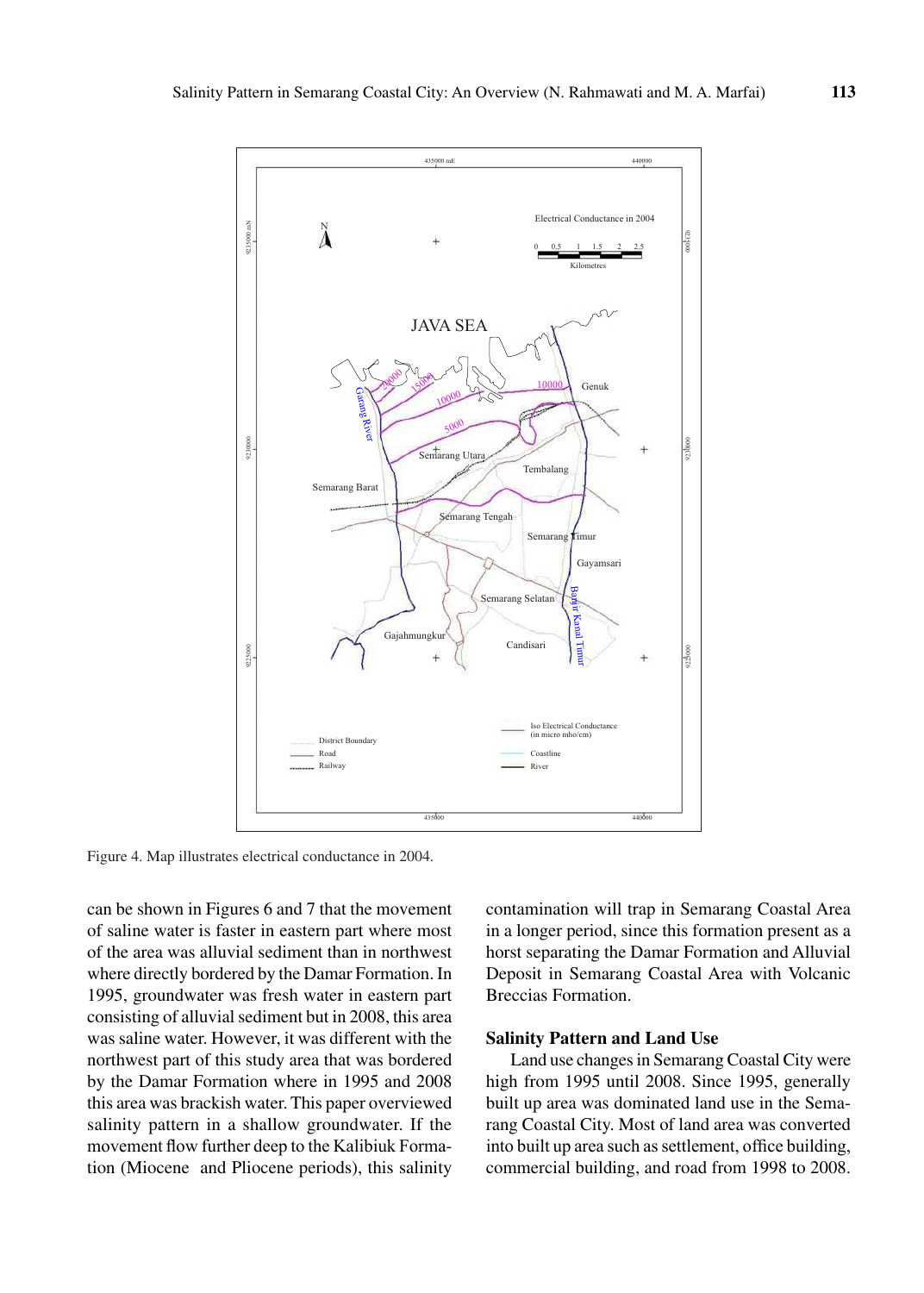

Figure 4. Map illustrates electrical conductance in 2004.

can be shown in Figures 6 and 7 that the movement of saline water is faster in eastern part where most of the area was alluvial sediment than in northwest where directly bordered by the Damar Formation. In 1995, groundwater was fresh water in eastern part consisting of alluvial sediment but in 2008, this area was saline water. However, it was different with the northwest part of this study area that was bordered by the Damar Formation where in 1995 and 2008 this area was brackish water. This paper overviewed salinity pattern in a shallow groundwater. If the movement flow further deep to the Kalibiuk Formation (Miocene and Pliocene periods), this salinity

contamination will trap in Semarang Coastal Area in a longer period, since this formation present as a horst separating the Damar Formation and Alluvial Deposit in Semarang Coastal Area with Volcanic Breccias Formation.

## **Salinity Pattern and Land Use**

Land use changes in Semarang Coastal City were high from 1995 until 2008. Since 1995, generally built up area was dominated land use in the Semarang Coastal City. Most of land area was converted into built up area such as settlement, office building, commercial building, and road from 1998 to 2008.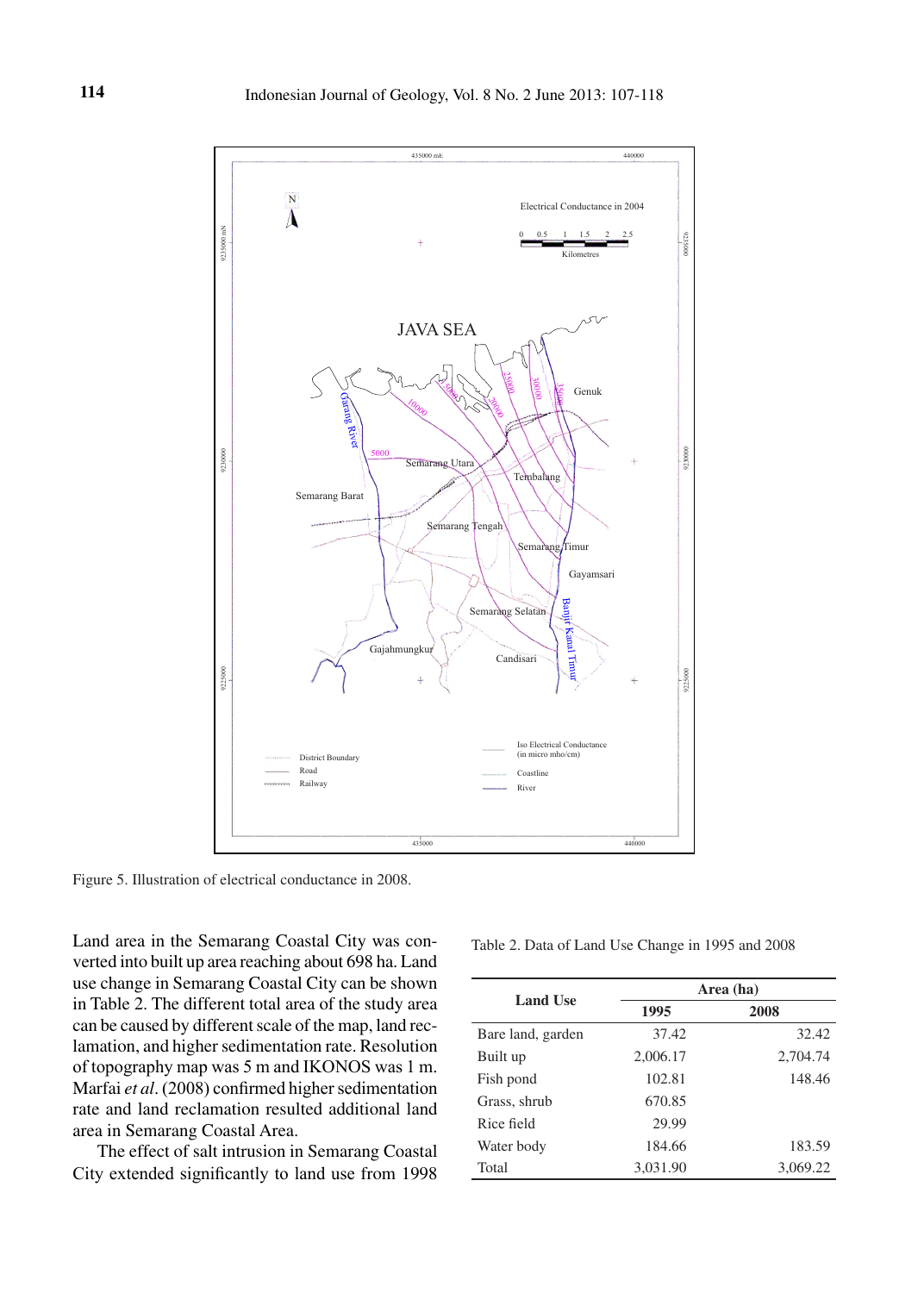

Figure 5. Illustration of electrical conductance in 2008.

Land area in the Semarang Coastal City was converted into built up area reaching about 698 ha. Land use change in Semarang Coastal City can be shown in Table 2. The different total area of the study area can be caused by different scale of the map, land reclamation, and higher sedimentation rate. Resolution of topography map was 5 m and IKONOS was 1 m. Marfai *et al*. (2008) confirmed higher sedimentation rate and land reclamation resulted additional land area in Semarang Coastal Area.

The effect of salt intrusion in Semarang Coastal City extended significantly to land use from 1998

Table 2. Data of Land Use Change in 1995 and 2008

| <b>Land Use</b>   | Area (ha) |          |  |  |
|-------------------|-----------|----------|--|--|
|                   | 1995      | 2008     |  |  |
| Bare land, garden | 37.42     | 32.42    |  |  |
| Built up          | 2,006.17  | 2,704.74 |  |  |
| Fish pond         | 102.81    | 148.46   |  |  |
| Grass, shrub      | 670.85    |          |  |  |
| Rice field        | 29.99     |          |  |  |
| Water body        | 184.66    | 183.59   |  |  |
| Total             | 3,031.90  | 3,069.22 |  |  |
|                   |           |          |  |  |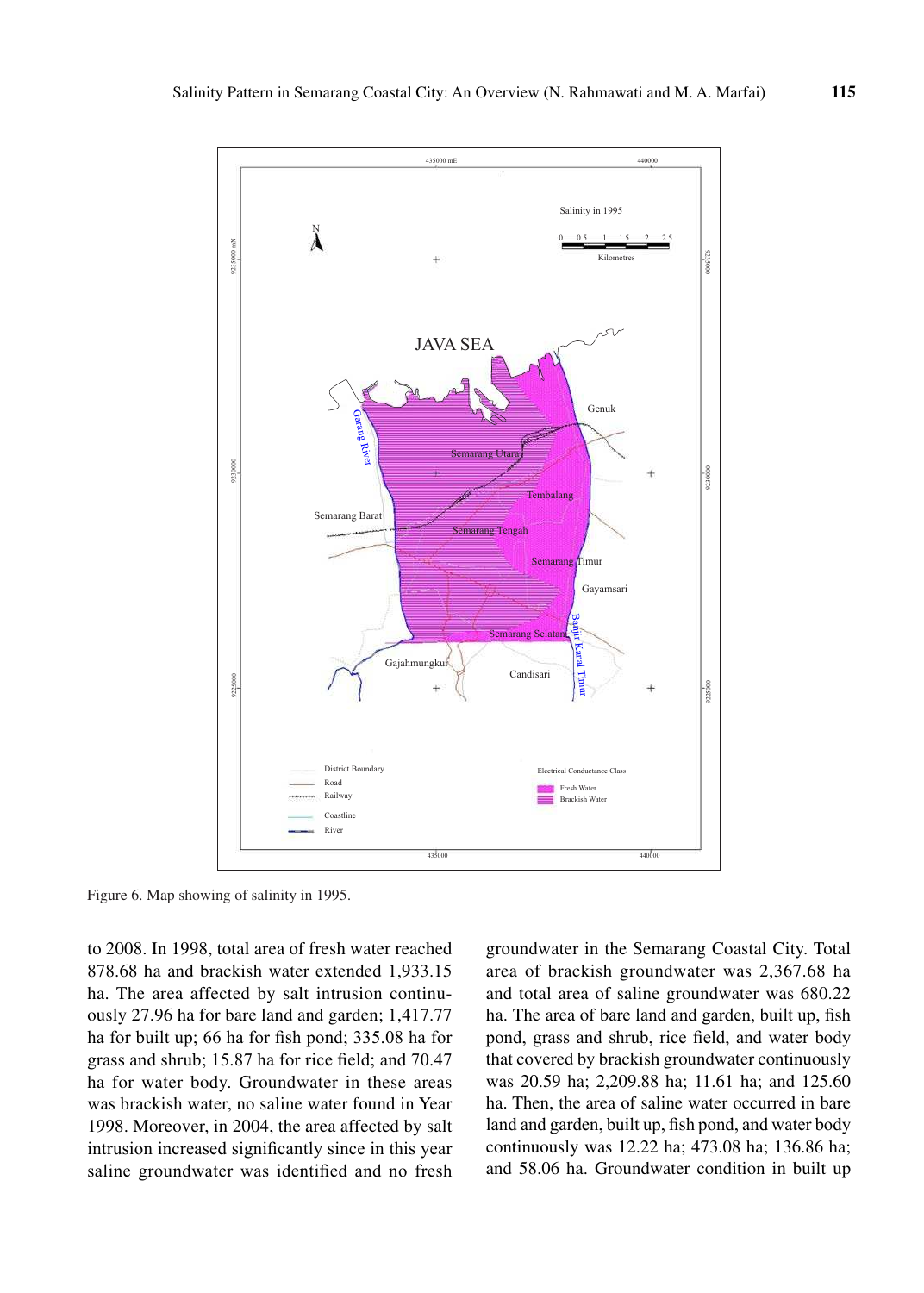

Figure 6. Map showing of salinity in 1995.

to 2008. In 1998, total area of fresh water reached 878.68 ha and brackish water extended 1,933.15 ha. The area affected by salt intrusion continuously 27.96 ha for bare land and garden; 1,417.77 ha for built up; 66 ha for fish pond; 335.08 ha for grass and shrub; 15.87 ha for rice field; and 70.47 ha for water body. Groundwater in these areas was brackish water, no saline water found in Year 1998. Moreover, in 2004, the area affected by salt intrusion increased significantly since in this year saline groundwater was identified and no fresh

groundwater in the Semarang Coastal City. Total area of brackish groundwater was 2,367.68 ha and total area of saline groundwater was 680.22 ha. The area of bare land and garden, built up, fish pond, grass and shrub, rice field, and water body that covered by brackish groundwater continuously was 20.59 ha; 2,209.88 ha; 11.61 ha; and 125.60 ha. Then, the area of saline water occurred in bare land and garden, built up, fish pond, and water body continuously was 12.22 ha; 473.08 ha; 136.86 ha; and 58.06 ha. Groundwater condition in built up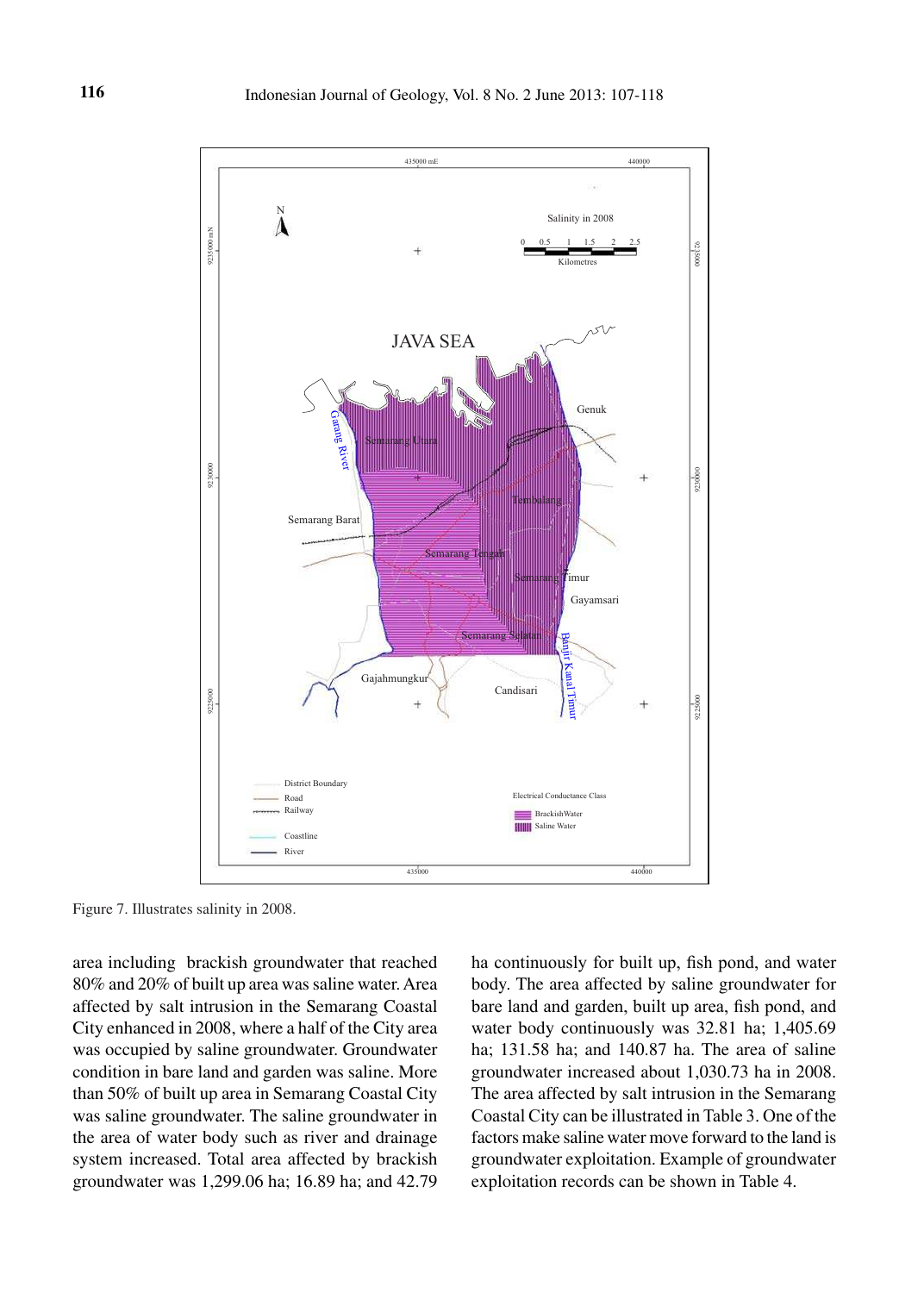

Figure 7. Illustrates salinity in 2008.

area including brackish groundwater that reached 80% and 20% of built up area was saline water. Area affected by salt intrusion in the Semarang Coastal City enhanced in 2008, where a half of the City area was occupied by saline groundwater. Groundwater condition in bare land and garden was saline. More than 50% of built up area in Semarang Coastal City was saline groundwater. The saline groundwater in the area of water body such as river and drainage system increased. Total area affected by brackish groundwater was 1,299.06 ha; 16.89 ha; and 42.79 ha continuously for built up, fish pond, and water body. The area affected by saline groundwater for bare land and garden, built up area, fish pond, and water body continuously was 32.81 ha; 1,405.69 ha; 131.58 ha; and 140.87 ha. The area of saline groundwater increased about 1,030.73 ha in 2008. The area affected by salt intrusion in the Semarang Coastal City can be illustrated in Table 3. One of the factors make saline water move forward to the land is groundwater exploitation. Example of groundwater exploitation records can be shown in Table 4.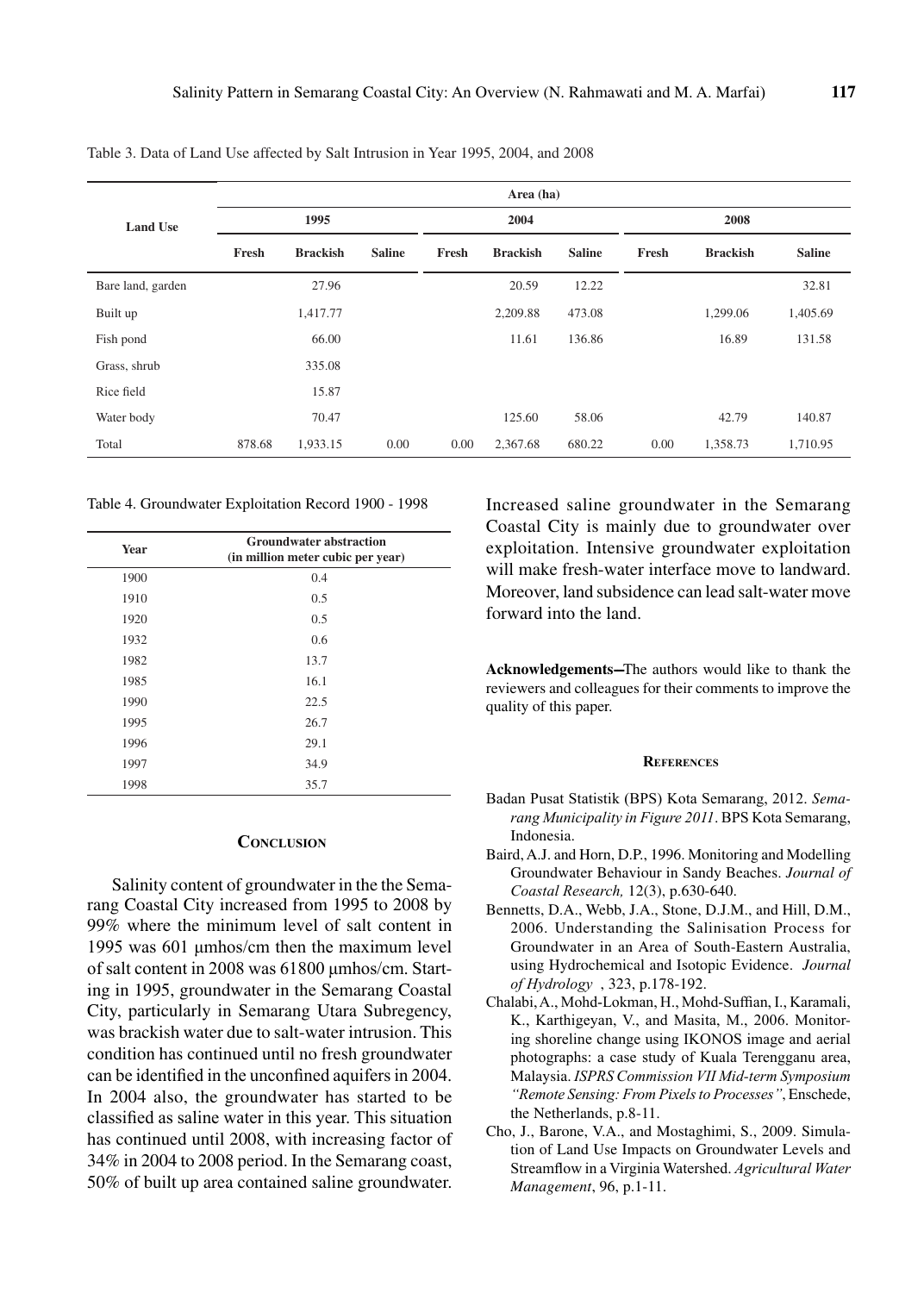|                   | Area (ha) |                 |               |       |                 |               |       |                 |               |
|-------------------|-----------|-----------------|---------------|-------|-----------------|---------------|-------|-----------------|---------------|
| <b>Land Use</b>   | 1995      |                 | 2004          |       | 2008            |               |       |                 |               |
|                   | Fresh     | <b>Brackish</b> | <b>Saline</b> | Fresh | <b>Brackish</b> | <b>Saline</b> | Fresh | <b>Brackish</b> | <b>Saline</b> |
| Bare land, garden |           | 27.96           |               |       | 20.59           | 12.22         |       |                 | 32.81         |
| Built up          |           | 1,417.77        |               |       | 2,209.88        | 473.08        |       | 1,299.06        | 1,405.69      |
| Fish pond         |           | 66.00           |               |       | 11.61           | 136.86        |       | 16.89           | 131.58        |
| Grass, shrub      |           | 335.08          |               |       |                 |               |       |                 |               |
| Rice field        |           | 15.87           |               |       |                 |               |       |                 |               |
| Water body        |           | 70.47           |               |       | 125.60          | 58.06         |       | 42.79           | 140.87        |
| Total             | 878.68    | 1,933.15        | 0.00          | 0.00  | 2,367.68        | 680.22        | 0.00  | 1,358.73        | 1,710.95      |

Table 3. Data of Land Use affected by Salt Intrusion in Year 1995, 2004, and 2008

Table 4. Groundwater Exploitation Record 1900 - 1998

| Year | <b>Groundwater abstraction</b><br>(in million meter cubic per year) |  |  |  |
|------|---------------------------------------------------------------------|--|--|--|
| 1900 | 0.4                                                                 |  |  |  |
| 1910 | 0.5                                                                 |  |  |  |
| 1920 | 0.5                                                                 |  |  |  |
| 1932 | 0.6                                                                 |  |  |  |
| 1982 | 13.7                                                                |  |  |  |
| 1985 | 16.1                                                                |  |  |  |
| 1990 | 22.5                                                                |  |  |  |
| 1995 | 26.7                                                                |  |  |  |
| 1996 | 29.1                                                                |  |  |  |
| 1997 | 34.9                                                                |  |  |  |
| 1998 | 35.7                                                                |  |  |  |

#### **conclusIon**

Salinity content of groundwater in the the Semarang Coastal City increased from 1995 to 2008 by 99% where the minimum level of salt content in 1995 was 601 μmhos/cm then the maximum level of salt content in 2008 was 61800 μmhos/cm. Starting in 1995, groundwater in the Semarang Coastal City, particularly in Semarang Utara Subregency, was brackish water due to salt-water intrusion. This condition has continued until no fresh groundwater can be identified in the unconfined aquifers in 2004. In 2004 also, the groundwater has started to be classified as saline water in this year. This situation has continued until 2008, with increasing factor of 34% in 2004 to 2008 period. In the Semarang coast, 50% of built up area contained saline groundwater.

Increased saline groundwater in the Semarang Coastal City is mainly due to groundwater over exploitation. Intensive groundwater exploitation will make fresh-water interface move to landward. Moreover, land subsidence can lead salt-water move forward into the land.

Acknowledgements-The authors would like to thank the reviewers and colleagues for their comments to improve the quality of this paper.

#### **references**

- Badan Pusat Statistik (BPS) Kota Semarang, 2012. *Semarang Municipality in Figure 2011*. BPS Kota Semarang, Indonesia.
- Baird, A.J. and Horn, D.P., 1996. Monitoring and Modelling Groundwater Behaviour in Sandy Beaches. *Journal of Coastal Research,* 12(3), p.630-640.
- Bennetts, D.A., Webb, J.A., Stone, D.J.M., and Hill, D.M., 2006. Understanding the Salinisation Process for Groundwater in an Area of South-Eastern Australia, using Hydrochemical and Isotopic Evidence. *Journal of Hydrology* , 323, p.178-192.
- Chalabi, A., Mohd-Lokman, H., Mohd-Suffian, I., Karamali, K., Karthigeyan, V., and Masita, M., 2006. Monitoring shoreline change using IKONOS image and aerial photographs: a case study of Kuala Terengganu area, Malaysia. *ISPRS Commission VII Mid-term Symposium "Remote Sensing: From Pixels to Processes"*, Enschede, the Netherlands, p.8-11.
- Cho, J., Barone, V.A., and Mostaghimi, S., 2009. Simulation of Land Use Impacts on Groundwater Levels and Streamflow in a Virginia Watershed. *Agricultural Water Management*, 96, p.1-11.